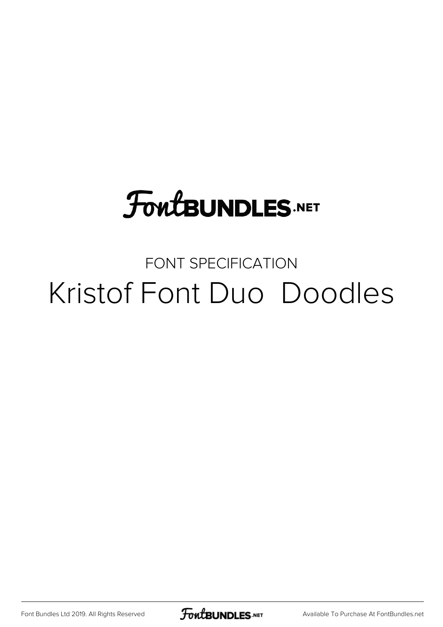## **FoutBUNDLES.NET**

### FONT SPECIFICATION Kristof Font Duo Doodles

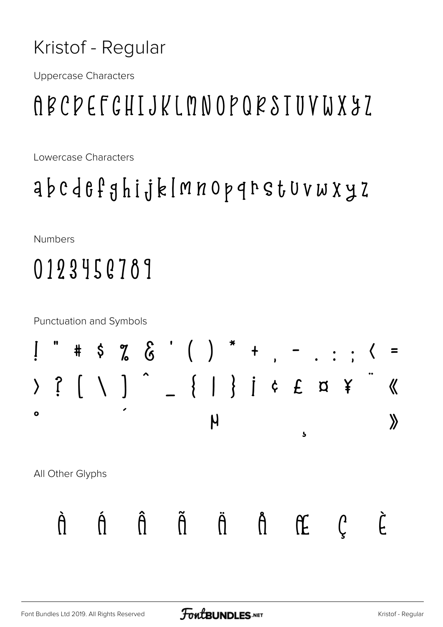### Kristof - Regular

**Uppercase Characters** 

## ABCDEFGHIJKLMNOPQRSTUVUXYZ

Lowercase Characters

abcdef ghijk mnopqrstuvwxyz

**Numbers** 

## 0123450789

**Punctuation and Symbols**  $\# \S \S \S \S' \quad ( ) * + , - . : ; \langle$ ļ  $\qquad \qquad =$  $\begin{array}{c} \circ \\ \circ \\ \circ \\ \circ \end{array}$   $\begin{array}{c} \circ \\ \circ \\ \circ \\ \circ \\ \circ \end{array}$   $\begin{array}{c} \circ \\ \circ \\ \circ \\ \circ \\ \circ \end{array}$   $\begin{array}{c} \circ \\ \circ \\ \circ \\ \circ \\ \circ \end{array}$  $\langle\!\langle$  $\bullet$  $\overline{M}$  $\mathcal{Y}$  $\overline{\mathbf{5}}$ All Other Glyphs  $\hat{H}$   $\hat{H}$   $\hat{H}$   $\hat{H}$   $\hat{H}$   $C$  $\dot{\mathsf{L}}$ À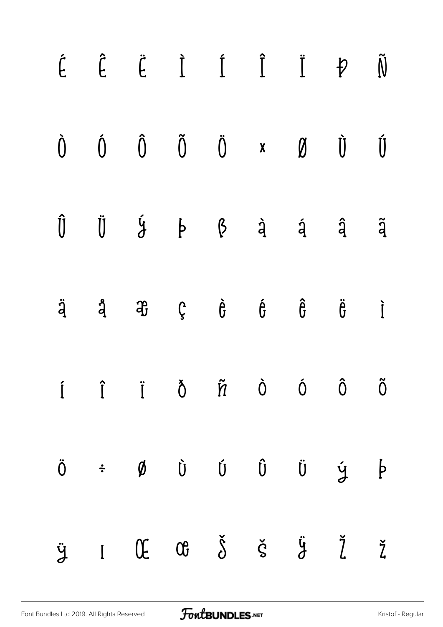|  | $\begin{array}{ccccccccccccccccc} \hat{\mathsf{E}} & \hat{\mathsf{E}} & \hat{\mathsf{E}} & \hat{\mathsf{I}} & \hat{\mathsf{I}} & \hat{\mathsf{I}} & \hat{\mathsf{I}} & \hat{\mathsf{I}} & \hat{\mathsf{I}} & \hat{\mathsf{N}} \end{array}$                                                                                                                                                                                                              |  |  |                                                 |             |
|--|---------------------------------------------------------------------------------------------------------------------------------------------------------------------------------------------------------------------------------------------------------------------------------------------------------------------------------------------------------------------------------------------------------------------------------------------------------|--|--|-------------------------------------------------|-------------|
|  | $\begin{matrix} \mathbf{0} & \mathbf{0} & \mathbf{0} & \mathbf{0} & \mathbf{0} & \mathbf{0} & \mathbf{0} & \mathbf{0} & \mathbf{0} & \mathbf{0} & \mathbf{0} & \mathbf{0} & \mathbf{0} & \mathbf{0} & \mathbf{0} & \mathbf{0} & \mathbf{0} & \mathbf{0} & \mathbf{0} & \mathbf{0} & \mathbf{0} & \mathbf{0} & \mathbf{0} & \mathbf{0} & \mathbf{0} & \mathbf{0} & \mathbf{0} & \mathbf{0} & \mathbf{0} & \mathbf{0} & \mathbf{0$                        |  |  |                                                 |             |
|  | $\hat{\mathbb{U}}\qquad \  \  \, \dot{\mathbb{U}}\qquad \, \hat{\mathbb{Y}}\qquad \, \mathbb{Y}\qquad \, \mathbb{Y}\qquad \, \hat{\mathbb{Y}}\qquad \, \hat{\mathbb{Q}}\qquad \, \hat{\mathbb{q}}\qquad \, \hat{\mathbb{q}}\qquad \, \hat{\mathbb{q}}\qquad \, \hat{\mathbb{q}}\qquad \, \hat{\mathbb{q}}\qquad \, \hat{\mathbb{q}}\qquad \, \hat{\mathbb{q}}\qquad \, \hat{\mathbb{q}}\qquad \, \hat{\mathbb{q}}\qquad \, \hat{\mathbb{q}}\qquad \, \$ |  |  |                                                 | $\tilde{a}$ |
|  | $\ddot{q}$ a $\ddot{q}$ c $\ddot{q}$ $\dot{\theta}$ $\ddot{\theta}$                                                                                                                                                                                                                                                                                                                                                                                     |  |  | $\ddot{\theta}$ $\ddot{\theta}$ $\ddot{\theta}$ |             |
|  | $\begin{array}{ccccccccccccc}\ni & & \hat{i} & & \hat{1} & & \hat{0} & & \hat{0} & & \hat{0} & & \hat{0} & & \hat{0}\end{array}$                                                                                                                                                                                                                                                                                                                        |  |  |                                                 |             |
|  | $\ddot{0}$ $\div$ $\phi$ $\dot{0}$ $\dot{0}$ $\ddot{0}$ $\ddot{0}$ $\dot{y}$ $\dot{P}$                                                                                                                                                                                                                                                                                                                                                                  |  |  |                                                 |             |
|  | $\ddot{y}$ I OE OG $\check{S}$ $\check{S}$ $\ddot{y}$ $\check{Z}$ $\check{z}$                                                                                                                                                                                                                                                                                                                                                                           |  |  |                                                 |             |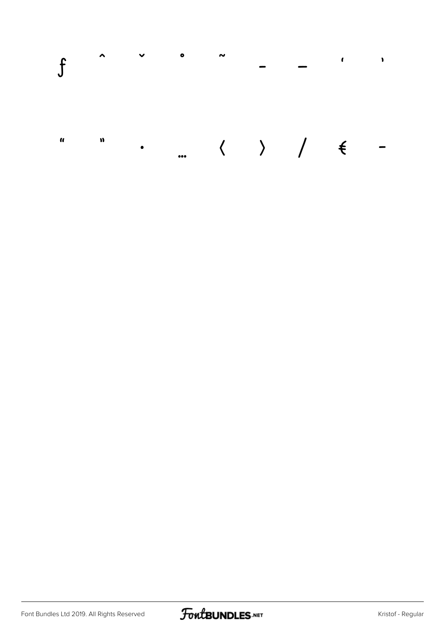

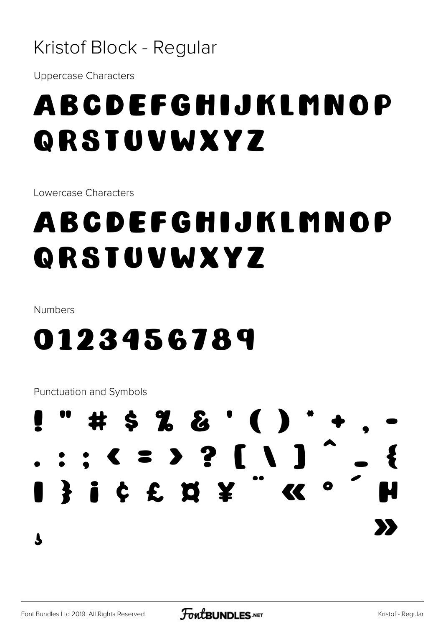### Kristof Block - Regular

**Uppercase Characters** 

## ABCDEFGHIJKLMNOP **ORSTUVWXYZ**

Lowercase Characters

## ABCDEFGHIJKLMNOP **QRSTUVWXYZ**

Numbers

## 0123456789

Punctuation and Symbols

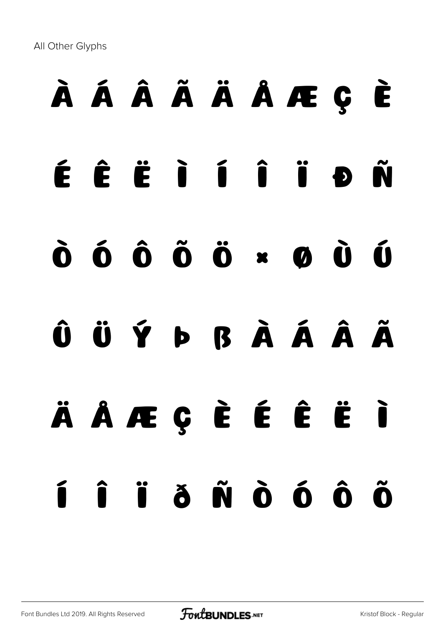All Other Glyphs

# À Á Â Ã Ä Å Æ Ç È É Ê Ë Ì Í Î Ï Ð Ñ Ò Ó Ô Õ Ö × Ø Ù Ú Û Ü Ý Þ ß à á â ã ä å æ ç è é ê ë ì í î ï ð ñ ò ó ô õ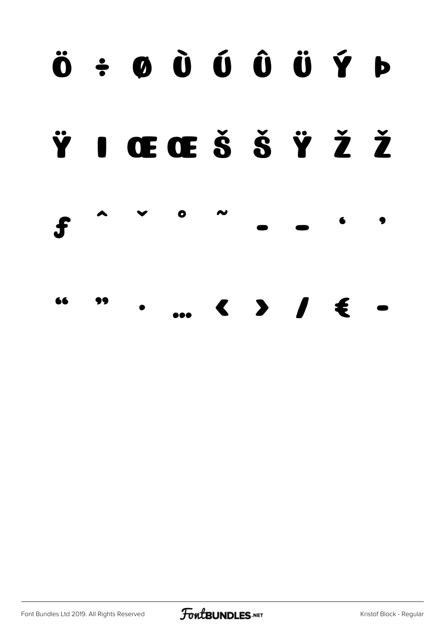## $\ddot{\mathbf{O}}$   $\vdots$   $\ddot{\mathbf{O}}$   $\dot{\mathbf{O}}$   $\ddot{\mathbf{O}}$   $\ddot{\mathbf{O}}$   $\ddot{\mathbf{O}}$   $\ddot{\mathbf{O}}$   $\ddot{\mathbf{O}}$   $\ddot{\mathbf{O}}$   $\ddot{\mathbf{O}}$

### I ŒŒŠŠŸŽŽ Ÿ

Font Bundles Ltd 2019. All Rights Reserved

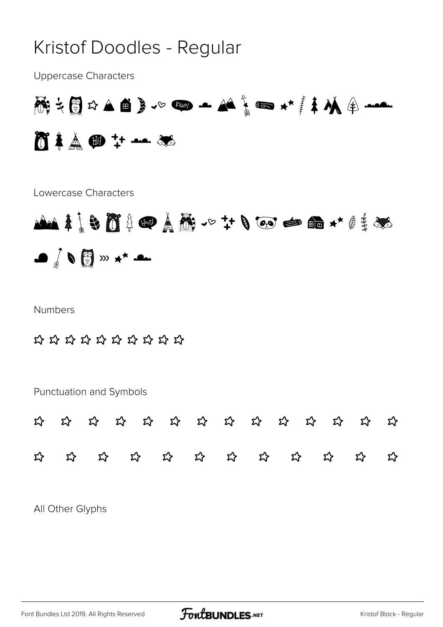### Kristof Doodles - Regular

**Uppercase Characters** 



Lowercase Characters



**Numbers** 

\*\*\*\*\*\*\*\*\*\*

Punctuation and Symbols

|  |  |  |  |  |  | * * * * * * * * * * * * * * * |  |
|--|--|--|--|--|--|-------------------------------|--|
|  |  |  |  |  |  | * * * * * * * * * * * * *     |  |

All Other Glyphs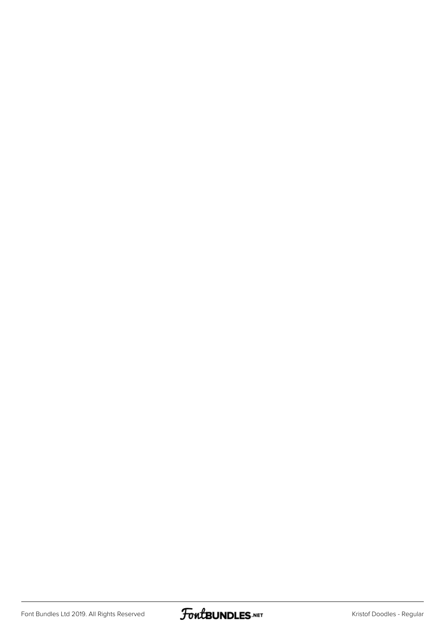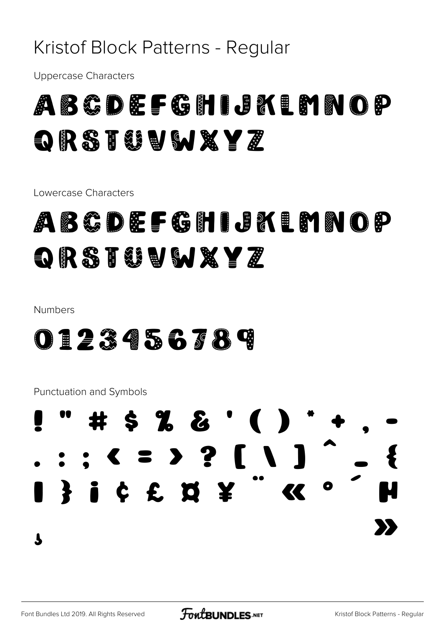### Kristof Block Patterns - Regular

**Uppercase Characters** 

## ABCDEFGHIJKLMNOP ORSTOVMXYZ

Lowercase Characters

## ABCDEFGHIJKLMNOP ORSTOVMXYZ

#### Numbers

### 0123456789

Punctuation and Symbols

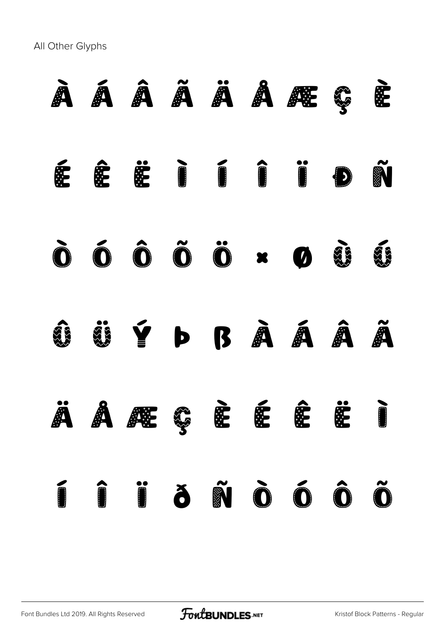All Other Glyphs